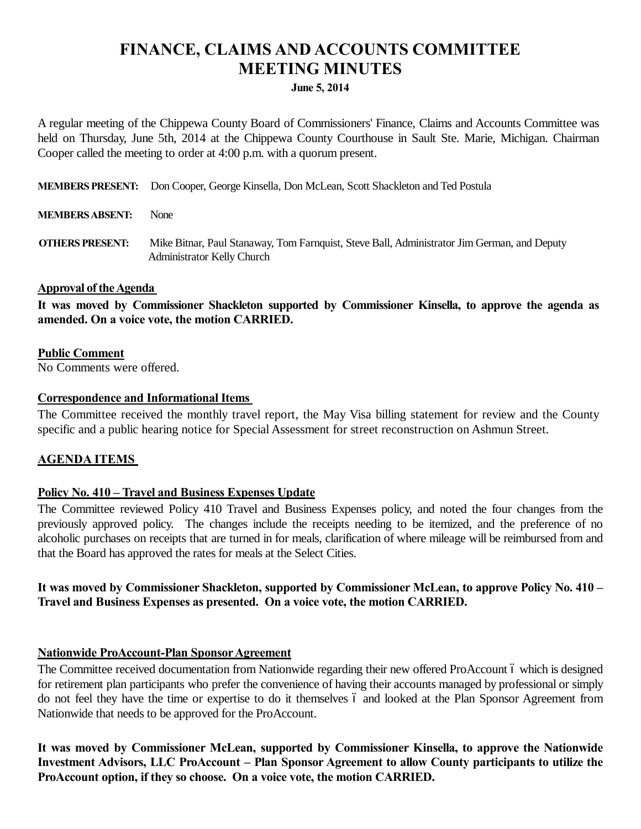# **FINANCE, CLAIMS AND ACCOUNTS COMMITTEE MEETING MINUTES**

#### **June 5, 2014**

A regular meeting of the Chippewa County Board of Commissioners' Finance, Claims and Accounts Committee was held on Thursday, June 5th, 2014 at the Chippewa County Courthouse in Sault Ste. Marie, Michigan. Chairman Cooper called the meeting to order at 4:00 p.m. with a quorum present.

**MEMBERS PRESENT:** Don Cooper, George Kinsella, Don McLean, Scott Shackleton and Ted Postula

#### **MEMBERS ABSENT:** None

**OTHERS PRESENT:** Mike Bitnar, Paul Stanaway, Tom Farnquist, Steve Ball, Administrator Jim German, and Deputy Administrator Kelly Church

## **Approval of the Agenda**

**It was moved by Commissioner Shackleton supported by Commissioner Kinsella, to approve the agenda as amended. On a voice vote, the motion CARRIED.**

#### **Public Comment**

No Comments were offered.

## **Correspondence and Informational Items**

The Committee received the monthly travel report, the May Visa billing statement for review and the County specific and a public hearing notice for Special Assessment for street reconstruction on Ashmun Street.

## **AGENDA ITEMS**

## **Policy No. 410 – Travel and Business Expenses Update**

The Committee reviewed Policy 410 Travel and Business Expenses policy, and noted the four changes from the previously approved policy. The changes include the receipts needing to be itemized, and the preference of no alcoholic purchases on receipts that are turned in for meals, clarification of where mileage will be reimbursed from and that the Board has approved the rates for meals at the Select Cities.

## **It was moved by Commissioner Shackleton, supported by Commissioner McLean, to approve Policy No. 410 – Travel and Business Expenses as presented. On a voice vote, the motion CARRIED.**

## **Nationwide ProAccount-Plan Sponsor Agreement**

The Committee received documentation from Nationwide regarding their new offered ProAccount 6 which is designed for retirement plan participants who prefer the convenience of having their accounts managed by professional or simply do not feel they have the time or expertise to do it themselves 6 and looked at the Plan Sponsor Agreement from Nationwide that needs to be approved for the ProAccount.

**It was moved by Commissioner McLean, supported by Commissioner Kinsella, to approve the Nationwide**  Investment Advisors, LLC ProAccount – Plan Sponsor Agreement to allow County participants to utilize the **ProAccount option, if they so choose. On a voice vote, the motion CARRIED.**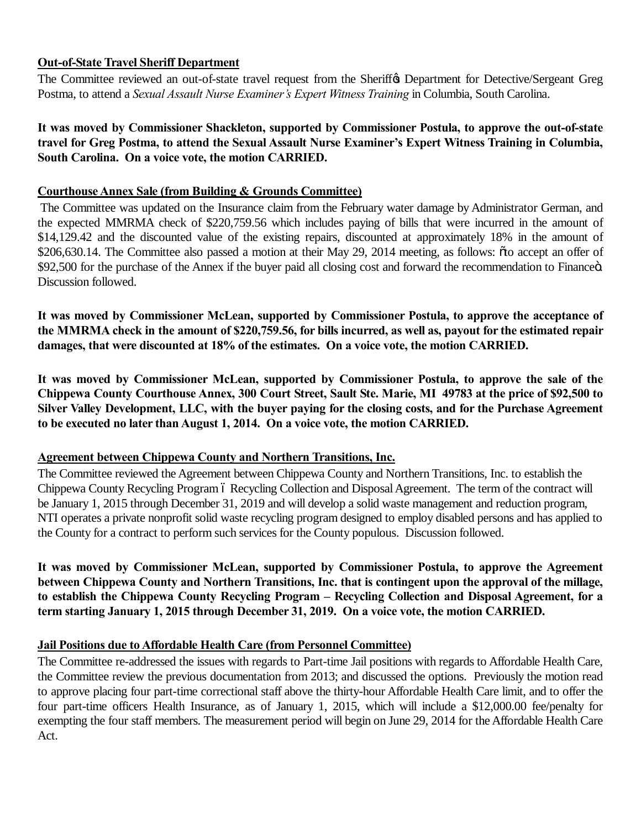## **Out-of-State Travel Sheriff Department**

The Committee reviewed an out-of-state travel request from the Sheriff $\alpha$  Department for Detective/Sergeant Greg Postma, to attend a *Sexual Assault Nurse Examiner's Expert Witness Training* in Columbia, South Carolina.

**It was moved by Commissioner Shackleton, supported by Commissioner Postula, to approve the out-of-state travel for Greg Postma, to attend the Sexual Assault Nurse Examiner's Expert Witness Training in Columbia, South Carolina. On a voice vote, the motion CARRIED.**

## **Courthouse Annex Sale (from Building & Grounds Committee)**

The Committee was updated on the Insurance claim from the February water damage by Administrator German, and the expected MMRMA check of \$220,759.56 which includes paying of bills that were incurred in the amount of \$14,129.42 and the discounted value of the existing repairs, discounted at approximately 18% in the amount of \$206,630.14. The Committee also passed a motion at their May 29, 2014 meeting, as follows:  $\tilde{\sigma}$ to accept an offer of \$92,500 for the purchase of the Annex if the buyer paid all closing cost and forward the recommendation to Financeö. Discussion followed.

**It was moved by Commissioner McLean, supported by Commissioner Postula, to approve the acceptance of the MMRMA check in the amount of \$220,759.56, for bills incurred, as well as, payout for the estimated repair damages, that were discounted at 18% of the estimates. On a voice vote, the motion CARRIED.**

**It was moved by Commissioner McLean, supported by Commissioner Postula, to approve the sale of the Chippewa County Courthouse Annex, 300 Court Street, Sault Ste. Marie, MI 49783 at the price of \$92,500 to Silver Valley Development, LLC, with the buyer paying for the closing costs, and for the Purchase Agreement to be executed no later than August 1, 2014. On a voice vote, the motion CARRIED.**

## **Agreement between Chippewa County and Northern Transitions, Inc.**

The Committee reviewed the Agreement between Chippewa County and Northern Transitions, Inc. to establish the Chippewa County Recycling Program 6 Recycling Collection and Disposal Agreement. The term of the contract will be January 1, 2015 through December 31, 2019 and will develop a solid waste management and reduction program, NTI operates a private nonprofit solid waste recycling program designed to employ disabled persons and has applied to the County for a contract to perform such services for the County populous. Discussion followed.

**It was moved by Commissioner McLean, supported by Commissioner Postula, to approve the Agreement between Chippewa County and Northern Transitions, Inc. that is contingent upon the approval of the millage, to establish the Chippewa County Recycling Program – Recycling Collection and Disposal Agreement, for a term starting January 1, 2015 through December 31, 2019. On a voice vote, the motion CARRIED.**

## **Jail Positions due to Affordable Health Care (from Personnel Committee)**

The Committee re-addressed the issues with regards to Part-time Jail positions with regards to Affordable Health Care, the Committee review the previous documentation from 2013; and discussed the options. Previously the motion read to approve placing four part-time correctional staff above the thirty-hour Affordable Health Care limit, and to offer the four part-time officers Health Insurance, as of January 1, 2015, which will include a \$12,000.00 fee/penalty for exempting the four staff members. The measurement period will begin on June 29, 2014 for the Affordable Health Care Act.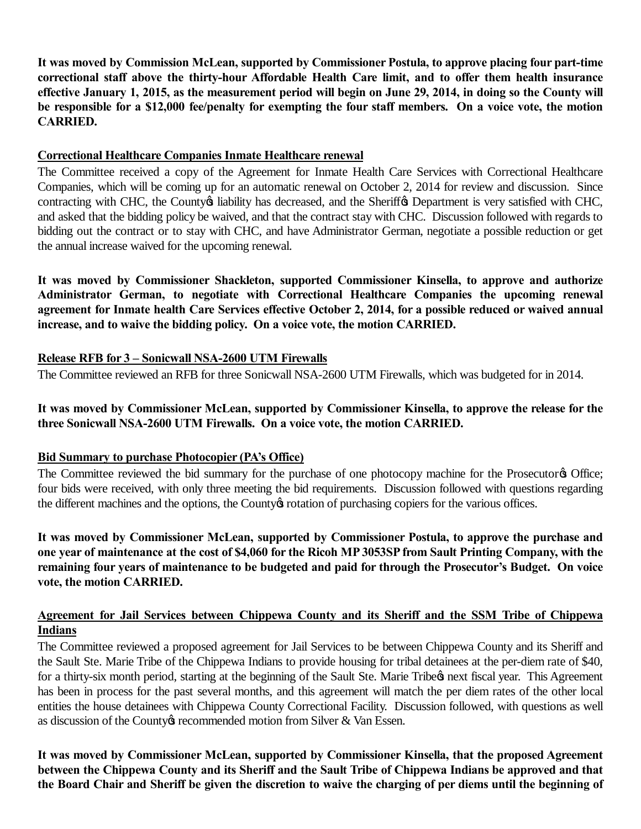**It was moved by Commission McLean, supported by Commissioner Postula, to approve placing four part-time correctional staff above the thirty-hour Affordable Health Care limit, and to offer them health insurance effective January 1, 2015, as the measurement period will begin on June 29, 2014, in doing so the County will be responsible for a \$12,000 fee/penalty for exempting the four staff members. On a voice vote, the motion CARRIED.**

## **Correctional Healthcare Companies Inmate Healthcare renewal**

The Committee received a copy of the Agreement for Inmate Health Care Services with Correctional Healthcare Companies, which will be coming up for an automatic renewal on October 2, 2014 for review and discussion. Since contracting with CHC, the County iability has decreased, and the Sheriff & Department is very satisfied with CHC, and asked that the bidding policy be waived, and that the contract stay with CHC. Discussion followed with regards to bidding out the contract or to stay with CHC, and have Administrator German, negotiate a possible reduction or get the annual increase waived for the upcoming renewal.

**It was moved by Commissioner Shackleton, supported Commissioner Kinsella, to approve and authorize Administrator German, to negotiate with Correctional Healthcare Companies the upcoming renewal agreement for Inmate health Care Services effective October 2, 2014, for a possible reduced or waived annual increase, and to waive the bidding policy. On a voice vote, the motion CARRIED.**

# **Release RFB for 3 – Sonicwall NSA-2600 UTM Firewalls**

The Committee reviewed an RFB for three Sonicwall NSA-2600 UTM Firewalls, which was budgeted for in 2014.

# **It was moved by Commissioner McLean, supported by Commissioner Kinsella, to approve the release for the three Sonicwall NSA-2600 UTM Firewalls. On a voice vote, the motion CARRIED.**

# **Bid Summary to purchase Photocopier (PA's Office)**

The Committee reviewed the bid summary for the purchase of one photocopy machine for the Prosecutor of Office; four bids were received, with only three meeting the bid requirements. Discussion followed with questions regarding the different machines and the options, the County ortation of purchasing copiers for the various offices.

**It was moved by Commissioner McLean, supported by Commissioner Postula, to approve the purchase and one year of maintenance at the cost of \$4,060 for the Ricoh MP 3053SP from Sault Printing Company, with the remaining four years of maintenance to be budgeted and paid for through the Prosecutor's Budget. On voice vote, the motion CARRIED.**

# **Agreement for Jail Services between Chippewa County and its Sheriff and the SSM Tribe of Chippewa Indians**

The Committee reviewed a proposed agreement for Jail Services to be between Chippewa County and its Sheriff and the Sault Ste. Marie Tribe of the Chippewa Indians to provide housing for tribal detainees at the per-diem rate of \$40, for a thirty-six month period, starting at the beginning of the Sault Ste. Marie Tribe next fiscal year. This Agreement has been in process for the past several months, and this agreement will match the per diem rates of the other local entities the house detainees with Chippewa County Correctional Facility. Discussion followed, with questions as well as discussion of the County or recommended motion from Silver & Van Essen.

**It was moved by Commissioner McLean, supported by Commissioner Kinsella, that the proposed Agreement between the Chippewa County and its Sheriff and the Sault Tribe of Chippewa Indians be approved and that the Board Chair and Sheriff be given the discretion to waive the charging of per diems until the beginning of**